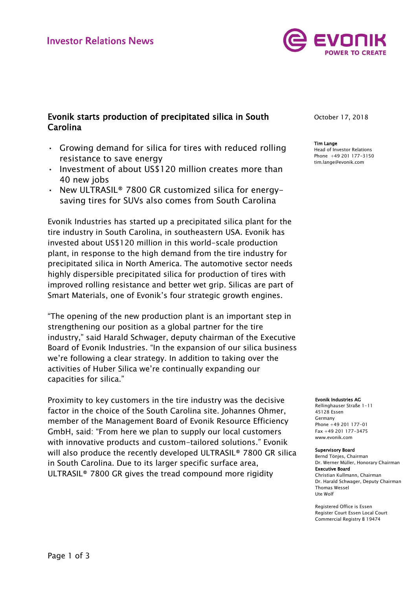

# Evonik starts production of precipitated silica in South Carolina

- Growing demand for silica for tires with reduced rolling resistance to save energy
- Investment of about US\$120 million creates more than 40 new jobs
- New ULTRASIL® 7800 GR customized silica for energysaving tires for SUVs also comes from South Carolina

Evonik Industries has started up a precipitated silica plant for the tire industry in South Carolina, in southeastern USA. Evonik has invested about US\$120 million in this world-scale production plant, in response to the high demand from the tire industry for precipitated silica in North America. The automotive sector needs highly dispersible precipitated silica for production of tires with improved rolling resistance and better wet grip. Silicas are part of Smart Materials, one of Evonik's four strategic growth engines.

"The opening of the new production plant is an important step in strengthening our position as a global partner for the tire industry," said Harald Schwager, deputy chairman of the Executive Board of Evonik Industries. "In the expansion of our silica business we're following a clear strategy. In addition to taking over the activities of Huber Silica we're continually expanding our capacities for silica."

Proximity to key customers in the tire industry was the decisive factor in the choice of the South Carolina site, Johannes Ohmer, member of the Management Board of Evonik Resource Efficiency GmbH, said: "From here we plan to supply our local customers with innovative products and custom-tailored solutions." Evonik will also produce the recently developed ULTRASIL® 7800 GR silica in South Carolina. Due to its larger specific surface area, ULTRASIL® 7800 GR gives the tread compound more rigidity

October 17, 2018

### Tim Lange

Head of Investor Relations Phone +49 201 177-3150 tim.lange@evonik.com

#### Evonik Industries AG

Rellinghauser Straße 1-11 45128 Essen Germany Phone +49 201 177-01 Fax +49 201 177-3475 www.evonik.com

#### Supervisory Board

Bernd Tönjes, Chairman Dr. Werner Müller, Honorary Chairman Executive Board Christian Kullmann, Chairman Dr. Harald Schwager, Deputy Chairman Thomas Wessel Ute Wolf

Registered Office is Essen Register Court Essen Local Court Commercial Registry B 19474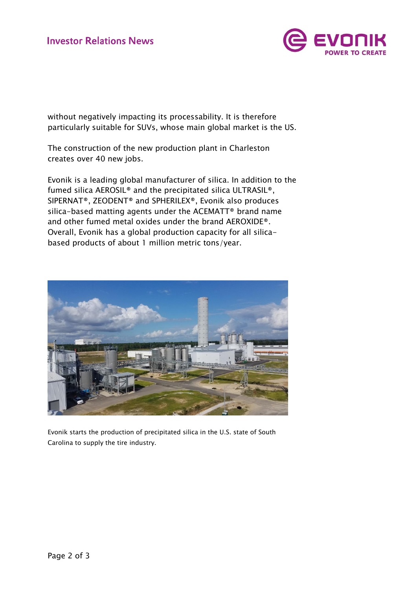

without negatively impacting its processability. It is therefore particularly suitable for SUVs, whose main global market is the US.

The construction of the new production plant in Charleston creates over 40 new jobs.

Evonik is a leading global manufacturer of silica. In addition to the fumed silica AEROSIL® and the precipitated silica ULTRASIL®, SIPERNAT®, ZEODENT® and SPHERILEX®, Evonik also produces silica-based matting agents under the ACEMATT® brand name and other fumed metal oxides under the brand AEROXIDE®. Overall, Evonik has a global production capacity for all silicabased products of about 1 million metric tons/year.



Evonik starts the production of precipitated silica in the U.S. state of South Carolina to supply the tire industry.